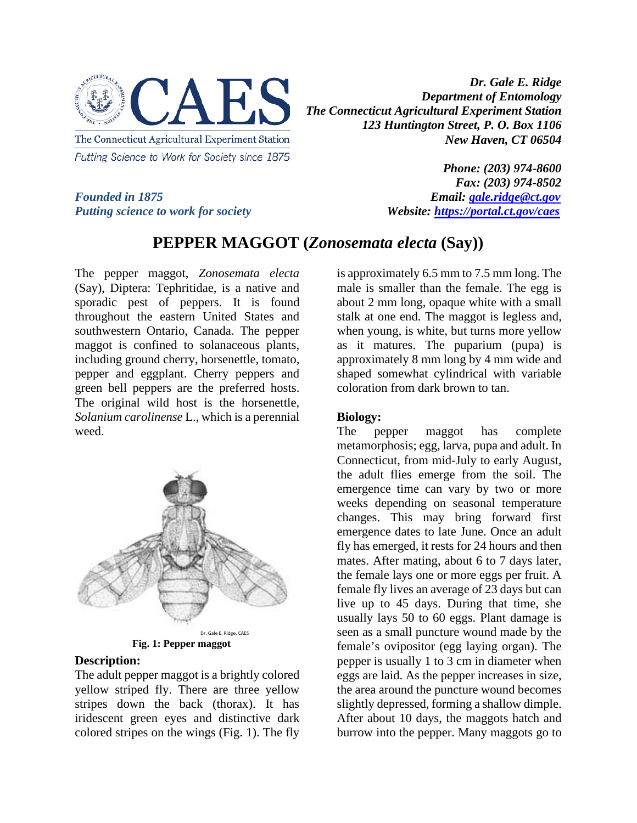

*Founded in 1875 Email: [gale.ridge@ct.gov](mailto:gale.ridge@ct.gov) Putting science to work for society Website: <https://portal.ct.gov/caes>*

*Phone: (203) 974-8600 Fax: (203) 974-8502*

## **PEPPER MAGGOT (***Zonosemata electa* **(Say))**

The pepper maggot, *Zonosemata electa* (Say), Diptera: Tephritidae, is a native and sporadic pest of peppers. It is found throughout the eastern United States and southwestern Ontario, Canada. The pepper maggot is confined to solanaceous plants, including ground cherry, horsenettle, tomato, pepper and eggplant. Cherry peppers and green bell peppers are the preferred hosts. The original wild host is the horsenettle, *Solanium carolinense* L., which is a perennial weed.



**Fig. 1: Pepper maggot**

## **Description:**

The adult pepper maggot is a brightly colored yellow striped fly. There are three yellow stripes down the back (thorax). It has iridescent green eyes and distinctive dark colored stripes on the wings (Fig. 1). The fly

is approximately 6.5 mm to 7.5 mm long. The male is smaller than the female. The egg is about 2 mm long, opaque white with a small stalk at one end. The maggot is legless and, when young, is white, but turns more yellow as it matures. The puparium (pupa) is approximately 8 mm long by 4 mm wide and shaped somewhat cylindrical with variable coloration from dark brown to tan.

## **Biology:**

The pepper maggot has complete metamorphosis; egg, larva, pupa and adult. In Connecticut, from mid-July to early August, the adult flies emerge from the soil. The emergence time can vary by two or more weeks depending on seasonal temperature changes. This may bring forward first emergence dates to late June. Once an adult fly has emerged, it rests for 24 hours and then mates. After mating, about 6 to 7 days later, the female lays one or more eggs per fruit. A female fly lives an average of 23 days but can live up to 45 days. During that time, she usually lays 50 to 60 eggs. Plant damage is seen as a small puncture wound made by the female's ovipositor (egg laying organ). The pepper is usually 1 to 3 cm in diameter when eggs are laid. As the pepper increases in size, the area around the puncture wound becomes slightly depressed, forming a shallow dimple. After about 10 days, the maggots hatch and burrow into the pepper. Many maggots go to